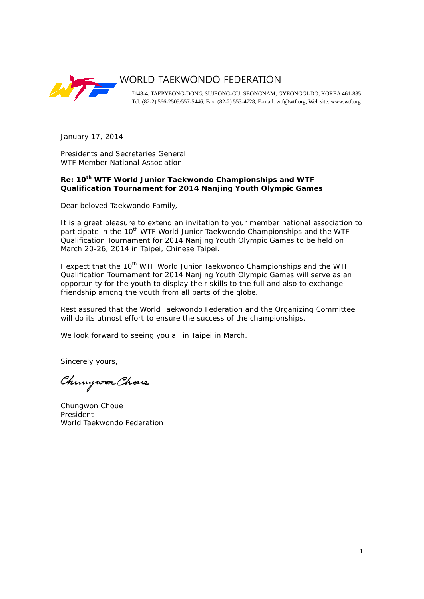

# WORLD TAEKWONDO FEDERATION

7148-4, TAEPYEONG-DONG, SUJEONG-GU, SEONGNAM, GYEONGGI-DO, KOREA 461-885 Tel: (82-2) 566-2505/557-5446, Fax: (82-2) 553-4728, E-mail: wtf@wtf.org, Web site: www.wtf.org

January 17, 2014

Presidents and Secretaries General WTF Member National Association

# **Re: 10th WTF World Junior Taekwondo Championships and WTF Qualification Tournament for 2014 Nanjing Youth Olympic Games**

Dear beloved Taekwondo Family,

It is a great pleasure to extend an invitation to your member national association to participate in the 10<sup>th</sup> WTF World Junior Taekwondo Championships and the WTF Qualification Tournament for 2014 Nanjing Youth Olympic Games to be held on March 20-26, 2014 in Taipei, Chinese Taipei.

I expect that the 10<sup>th</sup> WTF World Junior Taekwondo Championships and the WTF Qualification Tournament for 2014 Nanjing Youth Olympic Games will serve as an opportunity for the youth to display their skills to the full and also to exchange friendship among the youth from all parts of the globe.

Rest assured that the World Taekwondo Federation and the Organizing Committee will do its utmost effort to ensure the success of the championships.

We look forward to seeing you all in Taipei in March.

Sincerely yours,

Chungwon Chove

Chungwon Choue President World Taekwondo Federation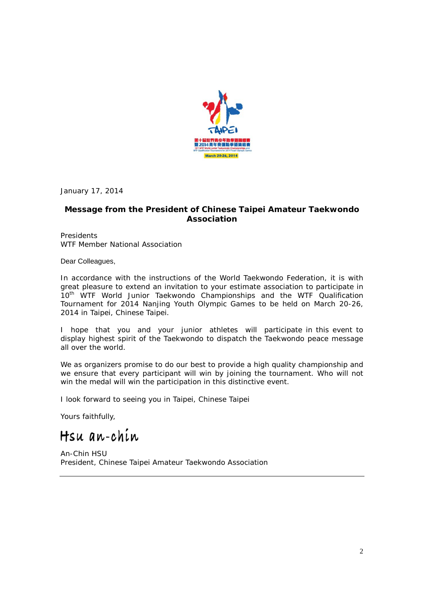

January 17, 2014

# **Message from the President of Chinese Taipei Amateur Taekwondo Association**

**Presidents** WTF Member National Association

Dear Colleagues,

In accordance with the instructions of the World Taekwondo Federation, it is with great pleasure to extend an invitation to your estimate association to participate in 10<sup>th</sup> WTF World Junior Taekwondo Championships and the WTF Qualification Tournament for 2014 Nanjing Youth Olympic Games to be held on March 20-26, 2014 in Taipei, Chinese Taipei.

I hope that you and your junior athletes will participate in this event to display highest spirit of the Taekwondo to dispatch the Taekwondo peace message all over the world.

We as organizers promise to do our best to provide a high quality championship and we ensure that every participant will win by joining the tournament. Who will not win the medal will win the participation in this distinctive event.

I look forward to seeing you in Taipei, Chinese Taipei

Yours faithfully,

Hsu an-chin

An-Chin HSU President, Chinese Taipei Amateur Taekwondo Association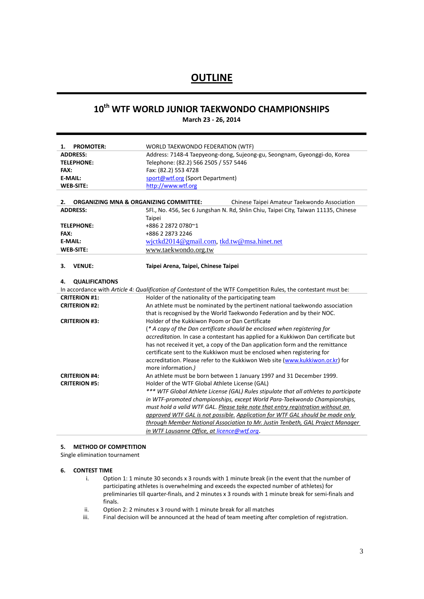# **OUTLINE**

# **10th WTF WORLD JUNIOR TAEKWONDO CHAMPIONSHIPS**

**March 23 - 26, 2014**

| <b>PROMOTER:</b><br>1.                                  | WORLD TAEKWONDO FEDERATION (WTF)                                                                                              |  |  |
|---------------------------------------------------------|-------------------------------------------------------------------------------------------------------------------------------|--|--|
| <b>ADDRESS:</b>                                         | Address: 7148-4 Taepyeong-dong, Sujeong-gu, Seongnam, Gyeonggi-do, Korea                                                      |  |  |
| <b>TELEPHONE:</b>                                       | Telephone: (82.2) 566 2505 / 557 5446                                                                                         |  |  |
| <b>FAX:</b>                                             | Fax: (82.2) 553 4728                                                                                                          |  |  |
| <b>E-MAIL:</b>                                          | sport@wtf.org (Sport Department)                                                                                              |  |  |
| <b>WEB-SITE:</b>                                        | http://www.wtf.org                                                                                                            |  |  |
|                                                         |                                                                                                                               |  |  |
| <b>ORGANIZING MNA &amp; ORGANIZING COMMITTEE:</b><br>2. | Chinese Taipei Amateur Taekwondo Association                                                                                  |  |  |
| <b>ADDRESS:</b>                                         | 5Fl., No. 456, Sec 6 Jungshan N. Rd, Shlin Chiu, Taipei City, Taiwan 11135, Chinese                                           |  |  |
|                                                         | Taipei                                                                                                                        |  |  |
| <b>TELEPHONE:</b>                                       | +886 2 2872 0780~1                                                                                                            |  |  |
| FAX:                                                    | +886 2 2873 2246                                                                                                              |  |  |
| <b>E-MAIL:</b>                                          | wictkd2014@gmail.com, tkd.tw@msa.hinet.net                                                                                    |  |  |
| <b>WEB-SITE:</b>                                        | www.taekwondo.org.tw                                                                                                          |  |  |
|                                                         |                                                                                                                               |  |  |
| <b>VENUE:</b><br>з.                                     | Taipei Arena, Taipei, Chinese Taipei                                                                                          |  |  |
|                                                         |                                                                                                                               |  |  |
| <b>QUALIFICATIONS</b><br>4.                             |                                                                                                                               |  |  |
|                                                         | In accordance with Article 4: Qualification of Contestant of the WTF Competition Rules, the contestant must be:               |  |  |
| <b>CRITERION #1:</b>                                    | Holder of the nationality of the participating team                                                                           |  |  |
| <b>CRITERION #2:</b>                                    | An athlete must be nominated by the pertinent national taekwondo association                                                  |  |  |
|                                                         | that is recognised by the World Taekwondo Federation and by their NOC.                                                        |  |  |
| <b>CRITERION #3:</b>                                    | Holder of the Kukkiwon Poom or Dan Certificate                                                                                |  |  |
|                                                         | (* A copy of the Dan certificate should be enclosed when registering for                                                      |  |  |
|                                                         |                                                                                                                               |  |  |
|                                                         |                                                                                                                               |  |  |
|                                                         | accreditation. In case a contestant has applied for a Kukkiwon Dan certificate but                                            |  |  |
|                                                         | has not received it yet, a copy of the Dan application form and the remittance                                                |  |  |
|                                                         | certificate sent to the Kukkiwon must be enclosed when registering for                                                        |  |  |
|                                                         | accreditation. Please refer to the Kukkiwon Web site (www.kukkiwon.or.kr) for                                                 |  |  |
|                                                         | more information.)                                                                                                            |  |  |
| <b>CRITERION #4:</b>                                    | An athlete must be born between 1 January 1997 and 31 December 1999.                                                          |  |  |
| <b>CRITERION #5:</b>                                    | Holder of the WTF Global Athlete License (GAL)                                                                                |  |  |
|                                                         | *** WTF Global Athlete License (GAL) Rules stipulate that all athletes to participate                                         |  |  |
|                                                         | in WTF-promoted championships, except World Para-Taekwondo Championships,                                                     |  |  |
|                                                         | must hold a valid WTF GAL. Please take note that entry registration without an                                                |  |  |
|                                                         | approved WTF GAL is not possible. Application for WTF GAL should be made only                                                 |  |  |
|                                                         | through Member National Association to Mr. Justin Tenbeth, GAL Project Manager<br>in WTF Lausanne Office, at licence@wtf.org. |  |  |

## **5. METHOD OF COMPETITION**

Single elimination tournament

#### **6. CONTEST TIME**

- i. Option 1: 1 minute 30 seconds x 3 rounds with 1 minute break (in the event that the number of participating athletes is overwhelming and exceeds the expected number of athletes) for preliminaries till quarter-finals, and 2 minutes x 3 rounds with 1 minute break for semi-finals and finals.
- ii. Option 2: 2 minutes x 3 round with 1 minute break for all matches
- iii. Final decision will be announced at the head of team meeting after completion of registration.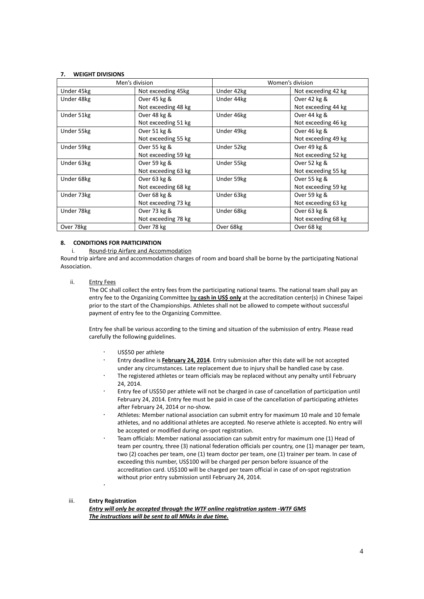## **7. WEIGHT DIVISIONS**

| Men's division |                     | Women's division |                     |
|----------------|---------------------|------------------|---------------------|
| Under 45kg     | Not exceeding 45kg  | Under 42kg       | Not exceeding 42 kg |
| Under 48kg     | Over 45 kg &        | Under 44kg       | Over 42 kg &        |
|                | Not exceeding 48 kg |                  | Not exceeding 44 kg |
| Under 51kg     | Over 48 kg &        | Under 46kg       | Over 44 kg &        |
|                | Not exceeding 51 kg |                  | Not exceeding 46 kg |
| Under 55kg     | Over 51 kg &        | Under 49kg       | Over 46 kg &        |
|                | Not exceeding 55 kg |                  | Not exceeding 49 kg |
| Under 59kg     | Over 55 kg &        | Under 52kg       | Over 49 kg &        |
|                | Not exceeding 59 kg |                  | Not exceeding 52 kg |
| Under 63kg     | Over 59 kg &        | Under 55kg       | Over 52 kg &        |
|                | Not exceeding 63 kg |                  | Not exceeding 55 kg |
| Under 68kg     | Over 63 kg &        | Under 59kg       | Over 55 kg &        |
|                | Not exceeding 68 kg |                  | Not exceeding 59 kg |
| Under 73kg     | Over 68 kg &        | Under 63kg       | Over 59 kg &        |
|                | Not exceeding 73 kg |                  | Not exceeding 63 kg |
| Under 78kg     | Over 73 kg &        | Under 68kg       | Over 63 kg &        |
|                | Not exceeding 78 kg |                  | Not exceeding 68 kg |
| Over 78kg      | Over 78 kg          | Over 68kg        | Over 68 kg          |

#### **8. CONDITIONS FOR PARTICIPATION**

#### i. Round-trip Airfare and Accommodation

Round trip airfare and and accommodation charges of room and board shall be borne by the participating National Association.

#### ii. Entry Fees

The OC shall collect the entry fees from the participating national teams. The national team shall pay an entry fee to the Organizing Committee by **cash in US\$ only** at the accreditation center(s) in Chinese Taipei prior to the start of the Championships. Athletes shall not be allowed to compete without successful payment of entry fee to the Organizing Committee.

Entry fee shall be various according to the timing and situation of the submission of entry. Please read carefully the following guidelines.

- US\$50 per athlete
- Entry deadline is **February 24, 2014**. Entry submission after this date will be not accepted under any circumstances. Late replacement due to injury shall be handled case by case.
- The registered athletes or team officials may be replaced without any penalty until February 24, 2014.
- Entry fee of US\$50 per athlete will not be charged in case of cancellation of participation until February 24, 2014. Entry fee must be paid in case of the cancellation of participating athletes after February 24, 2014 or no-show.
- Athletes: Member national association can submit entry for maximum 10 male and 10 female athletes, and no additional athletes are accepted. No reserve athlete is accepted. No entry will be accepted or modified during on-spot registration.
- Team officials: Member national association can submit entry for maximum one (1) Head of team per country, three (3) national federation officials per country, one (1) manager per team, two (2) coaches per team, one (1) team doctor per team, one (1) trainer per team. In case of exceeding this number, US\$100 will be charged per person before issuance of the accreditation card. US\$100 will be charged per team official in case of on-spot registration without prior entry submission until February 24, 2014.  $\overline{a}$

# iii. **Entry Registration**

*Entry will only be accepted through the WTF online registration system -WTF GMS The instructions will be sent to all MNAs in due time.*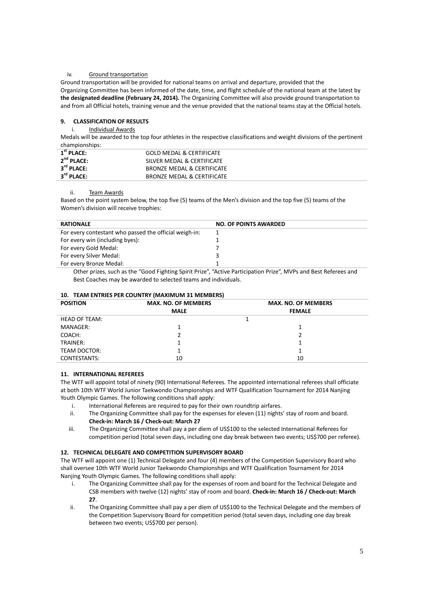#### iv. Ground transportation

Ground transportation will be provided for national teams on arrival and departure, provided that the Organizing Committee has been informed of the date, time, and flight schedule of the national team at the latest by **the designated deadline (February 24, 2014).** The Organizing Committee will also provide ground transportation to and from all Official hotels, training venue and the venue provided that the national teams stay at the Official hotels.

## **9. CLASSIFICATION OF RESULTS**

#### i. Individual Awards

Medals will be awarded to the top four athletes in the respective classifications and weight divisions of the pertinent championships:

| $1st$ PLACE:           | <b>GOLD MEDAL &amp; CERTIFICATE</b> |
|------------------------|-------------------------------------|
| $2nd$ PLACE:           | SILVER MEDAL & CERTIFICATE          |
| $3^{\text{rd}}$ PLACE: | BRONZE MEDAL & CERTIFICATE          |
| $3^{\text{rd}}$ PLACE: | BRONZE MEDAL & CERTIFICATE          |

#### ii. Team Awards

Based on the point system below, the top five (5) teams of the Men's division and the top five (5) teams of the Women's division will receive trophies:

| <b>RATIONALE</b>                                       | <b>NO. OF POINTS AWARDED</b> |
|--------------------------------------------------------|------------------------------|
| For every contestant who passed the official weigh-in: |                              |
| For every win (including byes):                        |                              |
| For every Gold Medal:                                  |                              |
| For every Silver Medal:                                |                              |
| For every Bronze Medal:                                |                              |
|                                                        |                              |

Other prizes, such as the "Good Fighting Spirit Prize", "Active Participation Prize", MVPs and Best Referees and Best Coaches may be awarded to selected teams and individuals.

## **10. TEAM ENTRIES PER COUNTRY (MAXIMUM 31 MEMBERS)**

| <b>POSITION</b> | <b>MAX. NO. OF MEMBERS</b> | <b>MAX. NO. OF MEMBERS</b> |
|-----------------|----------------------------|----------------------------|
|                 | <b>MALE</b>                | <b>FEMALE</b>              |
| HEAD OF TEAM:   |                            |                            |
| MANAGER:        |                            |                            |
| COACH:          |                            |                            |
| TRAINER:        |                            |                            |
| TEAM DOCTOR:    |                            |                            |
| CONTESTANTS:    | 10                         | 10                         |

#### **11. INTERNATIONAL REFEREES**

The WTF will appoint total of ninety (90) International Referees. The appointed international referees shall officiate at both 10th WTF World Junior Taekwondo Championships and WTF Qualification Tournament for 2014 Nanjing Youth Olympic Games. The following conditions shall apply:

- i. International Referees are required to pay for their own roundtrip airfares.
- ii. The Organizing Committee shall pay for the expenses for eleven (11) nights' stay of room and board. **Check-in: March 16 / Check-out: March 27**
- iii. The Organizing Committee shall pay a per diem of US\$100 to the selected International Referees for competition period (total seven days, including one day break between two events; US\$700 per referee).

#### **12. TECHNICAL DELEGATE AND COMPETITION SUPERVISORY BOARD**

The WTF will appoint one (1) Technical Delegate and four (4) members of the Competition Supervisory Board who shall oversee 10th WTF World Junior Taekwondo Championships and WTF Qualification Tournament for 2014 Nanjing Youth Olympic Games. The following conditions shall apply:

- i. The Organizing Committee shall pay for the expenses of room and board for the Technical Delegate and CSB members with twelve (12) nights' stay of room and board. **Check-in: March 16 / Check-out: March 27**.
- ii. The Organizing Committee shall pay a per diem of US\$100 to the Technical Delegate and the members of the Competition Supervisory Board for competition period (total seven days, including one day break between two events; US\$700 per person).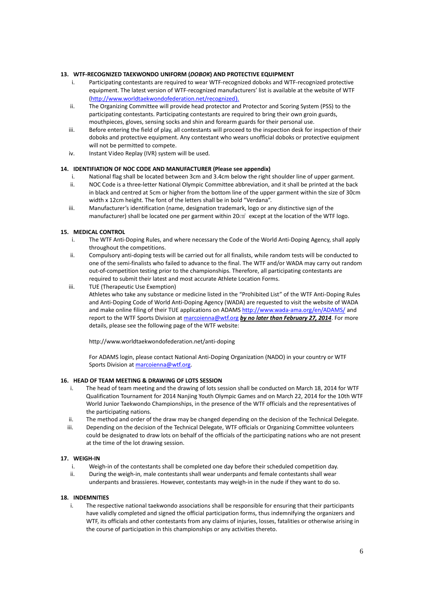#### **13. WTF-RECOGNIZED TAEKWONDO UNIFORM (***DOBOK***) AND PROTECTIVE EQUIPMENT**

- i. Participating contestants are required to wear WTF-recognized doboks and WTF-recognized protective equipment. The latest version of WTF-recognized manufacturers' list is available at the website of WTF [\(http://www.worldtaekwondofederation.net/recognized](http://www.worldtaekwondofederation.net/recognized)).
- ii. The Organizing Committee will provide head protector and Protector and Scoring System (PSS) to the participating contestants. Participating contestants are required to bring their own groin guards, mouthpieces, gloves, sensing socks and shin and forearm guards for their personal use.
- iii. Before entering the field of play, all contestants will proceed to the inspection desk for inspection of their doboks and protective equipment. Any contestant who wears unofficial doboks or protective equipment will not be permitted to compete.
- iv. Instant Video Replay (IVR) system will be used.

### **14. IDENTIFIATION OF NOC CODE AND MANUFACTURER (Please see appendix)**

- i. National flag shall be located between 3cm and 3.4cm below the right shoulder line of upper garment.
- ii. NOC Code is a three-letter National Olympic Committee abbreviation, and it shall be printed at the back in black and centred at 5cm or higher from the bottom line of the upper garment within the size of 30cm width x 12cm height. The font of the letters shall be in bold "Verdana".
- iii. Manufacturer's identification (name, designation trademark, logo or any distinctive sign of the manufacturer) shall be located one per garment within 20㎠ except at the location of the WTF logo.

#### **15. MEDICAL CONTROL**

- i. The WTF Anti-Doping Rules, and where necessary the Code of the World Anti-Doping Agency, shall apply throughout the competitions.
- ii. Compulsory anti-doping tests will be carried out for all finalists, while random tests will be conducted to one of the semi-finalists who failed to advance to the final. The WTF and/or WADA may carry out random out-of-competition testing prior to the championships. Therefore, all participating contestants are required to submit their latest and most accurate Athlete Location Forms.
- iii. TUE (Therapeutic Use Exemption)
	- Athletes who take any substance or medicine listed in the "Prohibited List" of the WTF Anti-Doping Rules and Anti-Doping Code of World Anti-Doping Agency (WADA) are requested to visit the website of WADA and make online filing of their TUE applications on ADAM[S http://www.wada-ama.org/en/ADAMS/](http://www.wada-ama.org/en/ADAMS/) and report to the WTF Sports Division at [marcoienna@wtf.org](mailto:marcoienna@wtf.org) *by no later than February 27, 2014*. For more details, please see the following page of the WTF website:

<http://www.worldtaekwondofederation.net/anti-doping>

For ADAMS login, please contact National Anti-Doping Organization (NADO) in your country or WTF Sports Division a[t marcoienna@wtf.org.](mailto:marcoienna@wtf.org)

#### **16. HEAD OF TEAM MEETING & DRAWING OF LOTS SESSION**

- i. The head of team meeting and the drawing of lots session shall be conducted on March 18, 2014 for WTF Qualification Tournament for 2014 Nanjing Youth Olympic Games and on March 22, 2014 for the 10th WTF World Junior Taekwondo Championships, in the presence of the WTF officials and the representatives of the participating nations.
- ii. The method and order of the draw may be changed depending on the decision of the Technical Delegate.
- iii. Depending on the decision of the Technical Delegate, WTF officials or Organizing Committee volunteers could be designated to draw lots on behalf of the officials of the participating nations who are not present at the time of the lot drawing session.

#### **17. WEIGH-IN**

- i. Weigh-in of the contestants shall be completed one day before their scheduled competition day.
- ii. During the weigh-in, male contestants shall wear underpants and female contestants shall wear underpants and brassieres. However, contestants may weigh-in in the nude if they want to do so.

#### **18. INDEMNITIES**

i. The respective national taekwondo associations shall be responsible for ensuring that their participants have validly completed and signed the official participation forms, thus indemnifying the organizers and WTF, its officials and other contestants from any claims of injuries, losses, fatalities or otherwise arising in the course of participation in this championships or any activities thereto.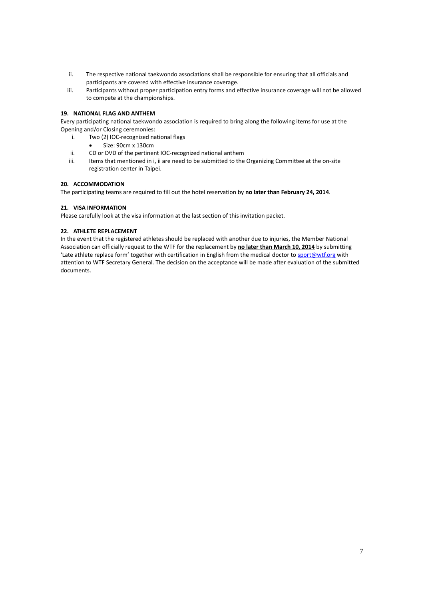- ii. The respective national taekwondo associations shall be responsible for ensuring that all officials and participants are covered with effective insurance coverage.
- iii. Participants without proper participation entry forms and effective insurance coverage will not be allowed to compete at the championships.

## **19. NATIONAL FLAG AND ANTHEM**

Every participating national taekwondo association is required to bring along the following items for use at the Opening and/or Closing ceremonies:

- i. Two (2) IOC-recognized national flags
	- Size: 90cm x 130cm
- ii. CD or DVD of the pertinent IOC-recognized national anthem
- iii. Items that mentioned in i, ii are need to be submitted to the Organizing Committee at the on-site registration center in Taipei.

### **20. ACCOMMODATION**

The participating teams are required to fill out the hotel reservation by **no later than February 24, 2014**.

### **21. VISA INFORMATION**

Please carefully look at the visa information at the last section of this invitation packet.

### **22. ATHLETE REPLACEMENT**

In the event that the registered athletes should be replaced with another due to injuries, the Member National Association can officially request to the WTF for the replacement by **no later than March 10, 2014** by submitting 'Late athlete replace form' together with certification in English from the medical doctor to [sport@wtf.org](mailto:sport@wtf.org) with attention to WTF Secretary General. The decision on the acceptance will be made after evaluation of the submitted documents.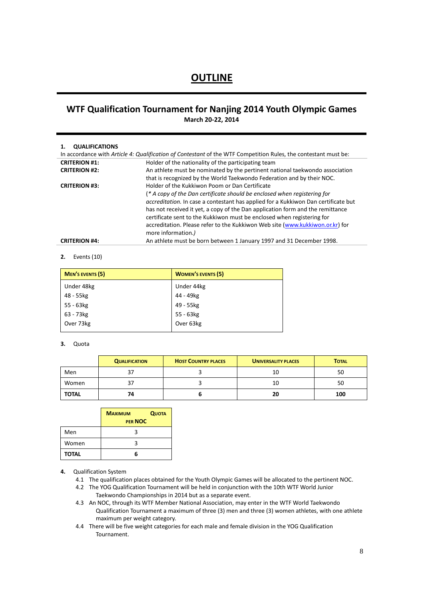# **OUTLINE**

# **WTF Qualification Tournament for Nanjing 2014 Youth Olympic Games March 20-22, 2014**

#### **1. QUALIFICATIONS**

| In accordance with Article 4: Qualification of Contestant of the WTF Competition Rules, the contestant must be: |                                                                                    |  |
|-----------------------------------------------------------------------------------------------------------------|------------------------------------------------------------------------------------|--|
| <b>CRITERION #1:</b>                                                                                            | Holder of the nationality of the participating team                                |  |
| <b>CRITERION #2:</b>                                                                                            | An athlete must be nominated by the pertinent national taekwondo association       |  |
|                                                                                                                 | that is recognized by the World Taekwondo Federation and by their NOC.             |  |
| <b>CRITERION #3:</b>                                                                                            | Holder of the Kukkiwon Poom or Dan Certificate                                     |  |
|                                                                                                                 | (* A copy of the Dan certificate should be enclosed when registering for           |  |
|                                                                                                                 | accreditation. In case a contestant has applied for a Kukkiwon Dan certificate but |  |
|                                                                                                                 | has not received it yet, a copy of the Dan application form and the remittance     |  |
|                                                                                                                 | certificate sent to the Kukkiwon must be enclosed when registering for             |  |
|                                                                                                                 | accreditation. Please refer to the Kukkiwon Web site (www.kukkiwon.or.kr) for      |  |
|                                                                                                                 | more information.)                                                                 |  |
| <b>CRITERION #4:</b>                                                                                            | An athlete must be born between 1 January 1997 and 31 December 1998.               |  |

#### **2.** Events (10)

| MEN'S EVENTS (5) | <b>WOMEN'S EVENTS (5)</b> |
|------------------|---------------------------|
| Under 48kg       | Under 44kg                |
| 48 - 55kg        | 44 - 49kg                 |
| 55 - 63kg        | 49 - 55kg                 |
| 63 - 73kg        | 55 - 63kg                 |
| Over 73kg        | Over 63kg                 |

#### **3.** Quota

|              | <b>QUALIFICATION</b> | <b>HOST COUNTRY PLACES</b> | <b>UNIVERSALITY PLACES</b> | <b>TOTAL</b> |
|--------------|----------------------|----------------------------|----------------------------|--------------|
| Men          |                      |                            | 10                         | 50           |
| Women        |                      |                            | 10                         | 50           |
| <b>TOTAL</b> | 74                   |                            | 20                         | 100          |

|              | <b>MAXIMUM</b><br>PER NOC | <b>QUOTA</b> |
|--------------|---------------------------|--------------|
| Men          |                           |              |
| Women        | ર                         |              |
| <b>TOTAL</b> |                           |              |

## **4.** Qualification System

- 4.1 The qualification places obtained for the Youth Olympic Games will be allocated to the pertinent NOC.
- 4.2 The YOG Qualification Tournament will be held in conjunction with the 10th WTF World Junior Taekwondo Championships in 2014 but as a separate event.
- 4.3 An NOC, through its WTF Member National Association, may enter in the WTF World Taekwondo Qualification Tournament a maximum of three (3) men and three (3) women athletes, with one athlete maximum per weight category.
- 4.4 There will be five weight categories for each male and female division in the YOG Qualification Tournament.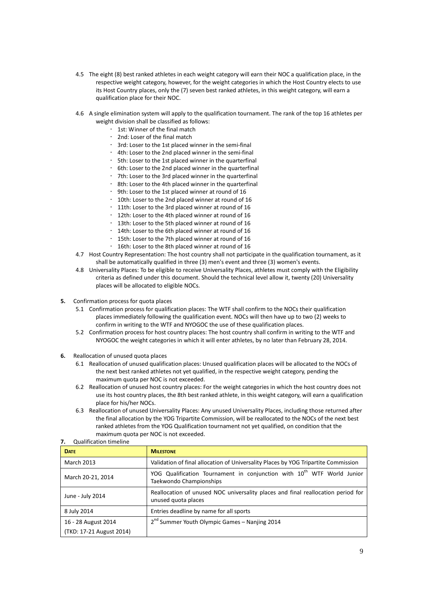- 4.5 The eight (8) best ranked athletes in each weight category will earn their NOC a qualification place, in the respective weight category, however, for the weight categories in which the Host Country elects to use its Host Country places, only the (7) seven best ranked athletes, in this weight category, will earn a qualification place for their NOC.
- 4.6 A single elimination system will apply to the qualification tournament. The rank of the top 16 athletes per weight division shall be classified as follows:
	- 1st: Winner of the final match
	- 2nd: Loser of the final match
	- 3rd: Loser to the 1st placed winner in the semi-final
	- 4th: Loser to the 2nd placed winner in the semi-final
	- 5th: Loser to the 1st placed winner in the quarterfinal
	- 6th: Loser to the 2nd placed winner in the quarterfinal
	- 7th: Loser to the 3rd placed winner in the quarterfinal
	- 8th: Loser to the 4th placed winner in the quarterfinal
	- 9th: Loser to the 1st placed winner at round of 16
	- 10th: Loser to the 2nd placed winner at round of 16
	- 11th: Loser to the 3rd placed winner at round of 16
	- 12th: Loser to the 4th placed winner at round of 16
	- 13th: Loser to the 5th placed winner at round of 16
	- 14th: Loser to the 6th placed winner at round of 16
	- 15th: Loser to the 7th placed winner at round of 16
	- 16th: Loser to the 8th placed winner at round of 16
- 4.7 Host Country Representation: The host country shall not participate in the qualification tournament, as it shall be automatically qualified in three (3) men's event and three (3) women's events.
- 4.8 Universality Places: To be eligible to receive Universality Places, athletes must comply with the Eligibility criteria as defined under this document. Should the technical level allow it, twenty (20) Universality places will be allocated to eligible NOCs.
- **5.** Confirmation process for quota places
	- 5.1 Confirmation process for qualification places: The WTF shall confirm to the NOCs their qualification places immediately following the qualification event. NOCs will then have up to two (2) weeks to confirm in writing to the WTF and NYOGOC the use of these qualification places.
	- 5.2 Confirmation process for host country places: The host country shall confirm in writing to the WTF and NYOGOC the weight categories in which it will enter athletes, by no later than February 28, 2014.
- **6.** Reallocation of unused quota places
	- 6.1 Reallocation of unused qualification places: Unused qualification places will be allocated to the NOCs of the next best ranked athletes not yet qualified, in the respective weight category, pending the maximum quota per NOC is not exceeded.
	- 6.2 Reallocation of unused host country places: For the weight categories in which the host country does not use its host country places, the 8th best ranked athlete, in this weight category, will earn a qualification place for his/her NOCs.
	- 6.3 Reallocation of unused Universality Places: Any unused Universality Places, including those returned after the final allocation by the YOG Tripartite Commission, will be reallocated to the NOCs of the next best ranked athletes from the YOG Qualification tournament not yet qualified, on condition that the maximum quota per NOC is not exceeded.

| <b>Qualification timeline</b><br>7.             |                                                                                                               |  |
|-------------------------------------------------|---------------------------------------------------------------------------------------------------------------|--|
| <b>DATE</b>                                     | <b>MILESTONE</b>                                                                                              |  |
| <b>March 2013</b>                               | Validation of final allocation of Universality Places by YOG Tripartite Commission                            |  |
| March 20-21, 2014                               | YOG Qualification Tournament in conjunction with 10 <sup>th</sup> WTF World Junior<br>Taekwondo Championships |  |
| June - July 2014                                | Reallocation of unused NOC universality places and final reallocation period for<br>unused quota places       |  |
| 8 July 2014                                     | Entries deadline by name for all sports                                                                       |  |
| 16 - 28 August 2014<br>(TKD: 17-21 August 2014) | 2 <sup>nd</sup> Summer Youth Olympic Games - Nanjing 2014                                                     |  |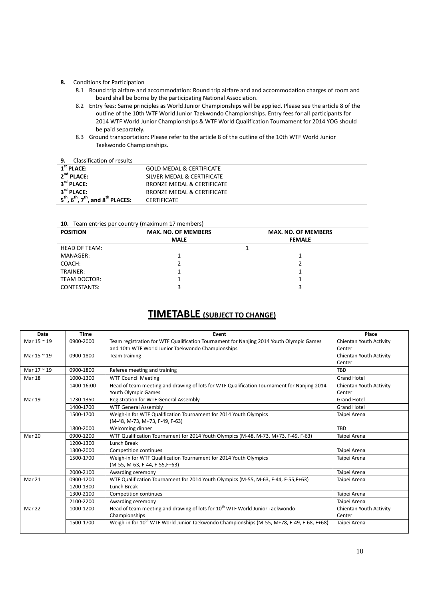#### **8.** Conditions for Participation

- 8.1 Round trip airfare and accommodation: Round trip airfare and and accommodation charges of room and board shall be borne by the participating National Association.
- 8.2 Entry fees: Same principles as World Junior Championships will be applied. Please see the article 8 of the outline of the 10th WTF World Junior Taekwondo Championships. Entry fees for all participants for 2014 WTF World Junior Championships & WTF World Qualification Tournament for 2014 YOG should be paid separately.
- 8.3 Ground transportation: Please refer to the article 8 of the outline of the 10th WTF World Junior Taekwondo Championships.

## **9.** Classification of results

| --<br>019991110901011 01 1 099109                                                 |                                     |
|-----------------------------------------------------------------------------------|-------------------------------------|
| $1st$ PLACE:                                                                      | <b>GOLD MEDAL &amp; CERTIFICATE</b> |
| $2nd$ PLACE:                                                                      | SILVER MEDAL & CERTIFICATE          |
| 3 <sup>rd</sup> PLACE:                                                            | BRONZE MEDAL & CERTIFICATE          |
| 3 <sup>rd</sup> PLACE:                                                            | BRONZE MEDAL & CERTIFICATE          |
| $5^{\text{th}}$ , $6^{\text{th}}$ , $7^{\text{th}}$ , and $8^{\text{th}}$ PLACES: | <b>CERTIFICATE</b>                  |

#### **10.** Team entries per country (maximum 17 members)

| <b>POSITION</b>      | <b>MAX. NO. OF MEMBERS</b> | <b>MAX. NO. OF MEMBERS</b> |
|----------------------|----------------------------|----------------------------|
|                      | <b>MALE</b>                | <b>FEMALE</b>              |
| <b>HEAD OF TEAM:</b> |                            |                            |
| MANAGER:             |                            |                            |
| COACH:               |                            |                            |
| TRAINER:             |                            |                            |
| TEAM DOCTOR:         |                            |                            |
| CONTESTANTS:         |                            |                            |

# **TIMETABLE (SUBJECT TO CHANGE)**

| Date          | Time       | Event                                                                                                 | Place                   |
|---------------|------------|-------------------------------------------------------------------------------------------------------|-------------------------|
| Mar 15 ~ 19   | 0900-2000  | Team registration for WTF Qualification Tournament for Nanjing 2014 Youth Olympic Games               | Chientan Youth Activity |
|               |            | and 10th WTF World Junior Taekwondo Championships                                                     | Center                  |
| Mar 15 ~ 19   | 0900-1800  | Team training                                                                                         | Chientan Youth Activity |
|               |            |                                                                                                       | Center                  |
| Mar 17 ~ 19   | 0900-1800  | Referee meeting and training                                                                          | <b>TBD</b>              |
| Mar 18        | 1000-1300  | <b>WTF Council Meeting</b>                                                                            | <b>Grand Hotel</b>      |
|               | 1400-16:00 | Head of team meeting and drawing of lots for WTF Qualification Tournament for Nanjing 2014            | Chientan Youth Activity |
|               |            | Youth Olympic Games                                                                                   | Center                  |
| <b>Mar 19</b> | 1230-1350  | Registration for WTF General Assembly                                                                 | <b>Grand Hotel</b>      |
|               | 1400-1700  | <b>WTF General Assembly</b>                                                                           | <b>Grand Hotel</b>      |
|               | 1500-1700  | Weigh-in for WTF Qualification Tournament for 2014 Youth Olympics                                     | Taipei Arena            |
|               |            | (M-48, M-73, M+73, F-49, F-63)                                                                        |                         |
|               | 1800-2000  | Welcoming dinner                                                                                      | TBD                     |
| Mar 20        | 0900-1200  | WTF Qualification Tournament for 2014 Youth Olympics (M-48, M-73, M+73, F-49, F-63)                   | Taipei Arena            |
|               | 1200-1300  | Lunch Break                                                                                           |                         |
|               | 1300-2000  | <b>Competition continues</b>                                                                          | Taipei Arena            |
|               | 1500-1700  | Weigh-in for WTF Qualification Tournament for 2014 Youth Olympics                                     | Taipei Arena            |
|               |            | (M-55, M-63, F-44, F-55, F+63)                                                                        |                         |
|               | 2000-2100  | Awarding ceremony                                                                                     | Taipei Arena            |
| Mar 21        | 0900-1200  | WTF Qualification Tournament for 2014 Youth Olympics (M-55, M-63, F-44, F-55, F+63)                   | Taipei Arena            |
|               | 1200-1300  | Lunch Break                                                                                           |                         |
|               | 1300-2100  | <b>Competition continues</b>                                                                          | Taipei Arena            |
|               | 2100-2200  | Awarding ceremony                                                                                     | Taipei Arena            |
| Mar 22        | 1000-1200  | Head of team meeting and drawing of lots for 10 <sup>th</sup> WTF World Junior Taekwondo              | Chientan Youth Activity |
|               |            | Championships                                                                                         | Center                  |
|               | 1500-1700  | Weigh-in for 10 <sup>th</sup> WTF World Junior Taekwondo Championships (M-55, M+78, F-49, F-68, F+68) | Taipei Arena            |
|               |            |                                                                                                       |                         |